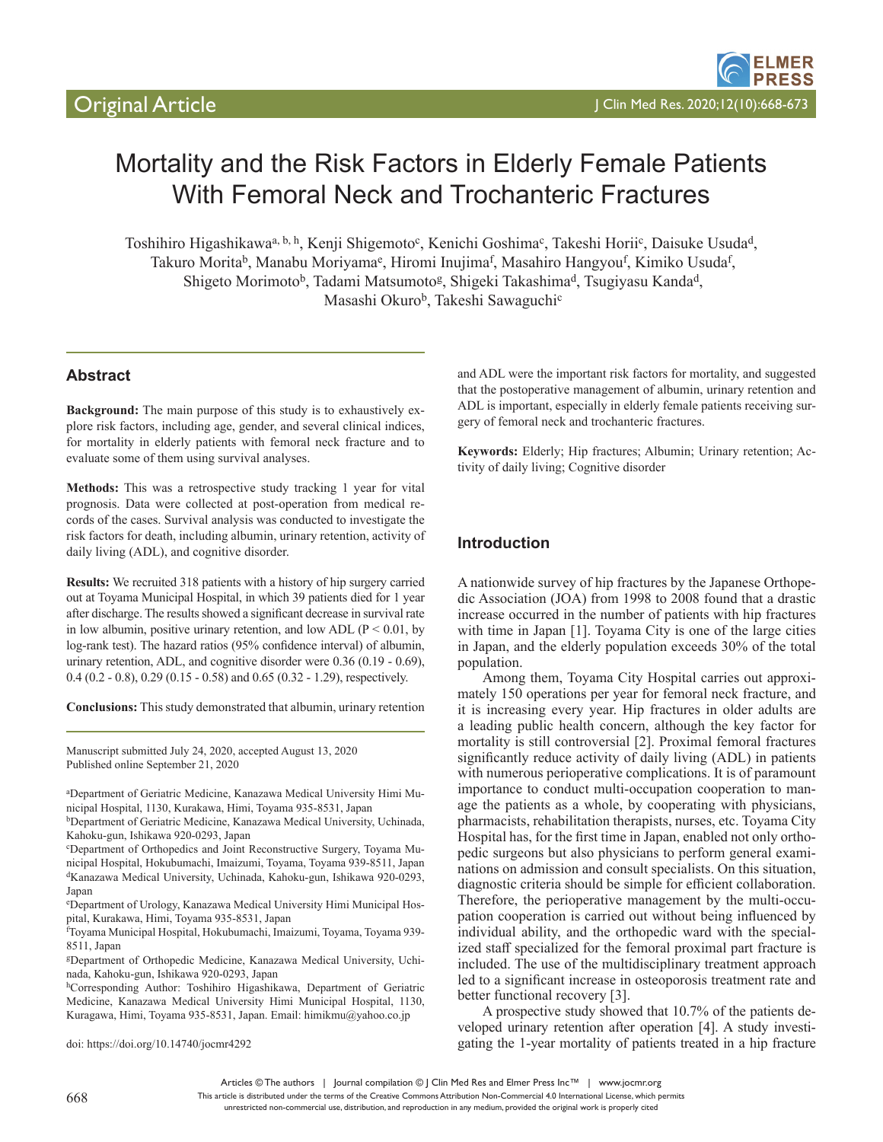# Mortality and the Risk Factors in Elderly Female Patients With Femoral Neck and Trochanteric Fractures

Toshihiro Higashikawa<sup>a, b, h</sup>, Kenji Shigemoto<sup>c</sup>, Kenichi Goshima<sup>c</sup>, Takeshi Horii<sup>c</sup>, Daisuke Usuda<sup>d</sup>, Takuro Morita<sup>b</sup>, Manabu Moriyama<sup>e</sup>, Hiromi Inujima<sup>f</sup>, Masahiro Hangyou<sup>f</sup>, Kimiko Usuda<sup>f</sup>, Shigeto Morimoto<sup>b</sup>, Tadami Matsumoto<sup>g</sup>, Shigeki Takashima<sup>d</sup>, Tsugiyasu Kanda<sup>d</sup>, Masashi Okuro<sup>b</sup>, Takeshi Sawaguchi<sup>c</sup>

# **Abstract**

**Background:** The main purpose of this study is to exhaustively explore risk factors, including age, gender, and several clinical indices, for mortality in elderly patients with femoral neck fracture and to evaluate some of them using survival analyses.

**Methods:** This was a retrospective study tracking 1 year for vital prognosis. Data were collected at post-operation from medical records of the cases. Survival analysis was conducted to investigate the risk factors for death, including albumin, urinary retention, activity of daily living (ADL), and cognitive disorder.

**Results:** We recruited 318 patients with a history of hip surgery carried out at Toyama Municipal Hospital, in which 39 patients died for 1 year after discharge. The results showed a significant decrease in survival rate in low albumin, positive urinary retention, and low ADL ( $P < 0.01$ , by log-rank test). The hazard ratios (95% confidence interval) of albumin, urinary retention, ADL, and cognitive disorder were 0.36 (0.19 - 0.69), 0.4 (0.2 - 0.8), 0.29 (0.15 - 0.58) and 0.65 (0.32 - 1.29), respectively.

**Conclusions:** This study demonstrated that albumin, urinary retention

Manuscript submitted July 24, 2020, accepted August 13, 2020 Published online September 21, 2020

a Department of Geriatric Medicine, Kanazawa Medical University Himi Municipal Hospital, 1130, Kurakawa, Himi, Toyama 935-8531, Japan

bDepartment of Geriatric Medicine, Kanazawa Medical University, Uchinada, Kahoku-gun, Ishikawa 920-0293, Japan

c Department of Orthopedics and Joint Reconstructive Surgery, Toyama Municipal Hospital, Hokubumachi, Imaizumi, Toyama, Toyama 939-8511, Japan dKanazawa Medical University, Uchinada, Kahoku-gun, Ishikawa 920-0293, Japan

e Department of Urology, Kanazawa Medical University Himi Municipal Hospital, Kurakawa, Himi, Toyama 935-8531, Japan

f Toyama Municipal Hospital, Hokubumachi, Imaizumi, Toyama, Toyama 939- 8511, Japan

gDepartment of Orthopedic Medicine, Kanazawa Medical University, Uchinada, Kahoku-gun, Ishikawa 920-0293, Japan

hCorresponding Author: Toshihiro Higashikawa, Department of Geriatric Medicine, Kanazawa Medical University Himi Municipal Hospital, 1130, Kuragawa, Himi, Toyama 935-8531, Japan. Email: himikmu@yahoo.co.jp

doi: https://doi.org/10.14740/jocmr4292

and ADL were the important risk factors for mortality, and suggested that the postoperative management of albumin, urinary retention and ADL is important, especially in elderly female patients receiving surgery of femoral neck and trochanteric fractures.

**Keywords:** Elderly; Hip fractures; Albumin; Urinary retention; Activity of daily living; Cognitive disorder

#### **Introduction**

A nationwide survey of hip fractures by the Japanese Orthopedic Association (JOA) from 1998 to 2008 found that a drastic increase occurred in the number of patients with hip fractures with time in Japan [1]. Toyama City is one of the large cities in Japan, and the elderly population exceeds 30% of the total population.

Among them, Toyama City Hospital carries out approximately 150 operations per year for femoral neck fracture, and it is increasing every year. Hip fractures in older adults are a leading public health concern, although the key factor for mortality is still controversial [2]. Proximal femoral fractures significantly reduce activity of daily living (ADL) in patients with numerous perioperative complications. It is of paramount importance to conduct multi-occupation cooperation to manage the patients as a whole, by cooperating with physicians, pharmacists, rehabilitation therapists, nurses, etc. Toyama City Hospital has, for the first time in Japan, enabled not only orthopedic surgeons but also physicians to perform general examinations on admission and consult specialists. On this situation, diagnostic criteria should be simple for efficient collaboration. Therefore, the perioperative management by the multi-occupation cooperation is carried out without being influenced by individual ability, and the orthopedic ward with the specialized staff specialized for the femoral proximal part fracture is included. The use of the multidisciplinary treatment approach led to a significant increase in osteoporosis treatment rate and better functional recovery [3].

A prospective study showed that 10.7% of the patients developed urinary retention after operation [4]. A study investigating the 1-year mortality of patients treated in a hip fracture

Articles © The authors | Journal compilation © J Clin Med Res and Elmer Press Inc™ | www.jocmr.org

This article is distributed under the terms of the Creative Commons Attribution Non-Commercial 4.0 International License, which permits unrestricted non-commercial use, distribution, and reproduction in any medium, provided the original work is properly cited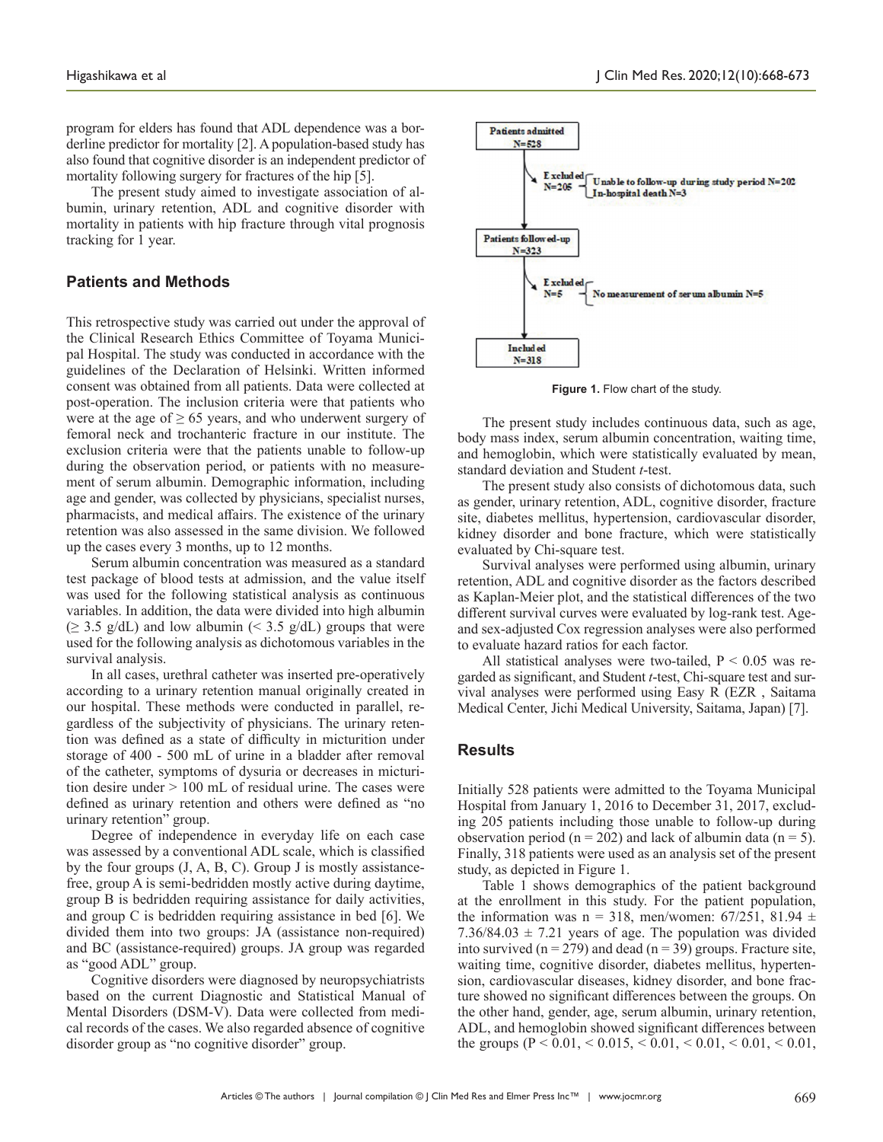The present study aimed to investigate association of albumin, urinary retention, ADL and cognitive disorder with mortality in patients with hip fracture through vital prognosis tracking for 1 year.

### **Patients and Methods**

This retrospective study was carried out under the approval of the Clinical Research Ethics Committee of Toyama Municipal Hospital. The study was conducted in accordance with the guidelines of the Declaration of Helsinki. Written informed consent was obtained from all patients. Data were collected at post-operation. The inclusion criteria were that patients who were at the age of  $\geq 65$  years, and who underwent surgery of femoral neck and trochanteric fracture in our institute. The exclusion criteria were that the patients unable to follow-up during the observation period, or patients with no measurement of serum albumin. Demographic information, including age and gender, was collected by physicians, specialist nurses, pharmacists, and medical affairs. The existence of the urinary retention was also assessed in the same division. We followed up the cases every 3 months, up to 12 months.

Serum albumin concentration was measured as a standard test package of blood tests at admission, and the value itself was used for the following statistical analysis as continuous variables. In addition, the data were divided into high albumin  $(\geq 3.5 \text{ g/dL})$  and low albumin (< 3.5 g/dL) groups that were used for the following analysis as dichotomous variables in the survival analysis.

In all cases, urethral catheter was inserted pre-operatively according to a urinary retention manual originally created in our hospital. These methods were conducted in parallel, regardless of the subjectivity of physicians. The urinary retention was defined as a state of difficulty in micturition under storage of 400 - 500 mL of urine in a bladder after removal of the catheter, symptoms of dysuria or decreases in micturition desire under > 100 mL of residual urine. The cases were defined as urinary retention and others were defined as "no urinary retention" group.

Degree of independence in everyday life on each case was assessed by a conventional ADL scale, which is classified by the four groups (J, A, B, C). Group J is mostly assistancefree, group A is semi-bedridden mostly active during daytime, group B is bedridden requiring assistance for daily activities, and group C is bedridden requiring assistance in bed [6]. We divided them into two groups: JA (assistance non-required) and BC (assistance-required) groups. JA group was regarded as "good ADL" group.

Cognitive disorders were diagnosed by neuropsychiatrists based on the current Diagnostic and Statistical Manual of Mental Disorders (DSM-V). Data were collected from medical records of the cases. We also regarded absence of cognitive disorder group as "no cognitive disorder" group.



**Figure 1.** Flow chart of the study.

The present study includes continuous data, such as age, body mass index, serum albumin concentration, waiting time, and hemoglobin, which were statistically evaluated by mean, standard deviation and Student *t*-test.

The present study also consists of dichotomous data, such as gender, urinary retention, ADL, cognitive disorder, fracture site, diabetes mellitus, hypertension, cardiovascular disorder, kidney disorder and bone fracture, which were statistically evaluated by Chi-square test.

Survival analyses were performed using albumin, urinary retention, ADL and cognitive disorder as the factors described as Kaplan-Meier plot, and the statistical differences of the two different survival curves were evaluated by log-rank test. Ageand sex-adjusted Cox regression analyses were also performed to evaluate hazard ratios for each factor.

All statistical analyses were two-tailed,  $P < 0.05$  was regarded as significant, and Student *t*-test, Chi-square test and survival analyses were performed using Easy R (EZR , Saitama Medical Center, Jichi Medical University, Saitama, Japan) [7].

### **Results**

Initially 528 patients were admitted to the Toyama Municipal Hospital from January 1, 2016 to December 31, 2017, excluding 205 patients including those unable to follow-up during observation period ( $n = 202$ ) and lack of albumin data ( $n = 5$ ). Finally, 318 patients were used as an analysis set of the present study, as depicted in Figure 1.

Table 1 shows demographics of the patient background at the enrollment in this study. For the patient population, the information was n = 318, men/women: 67/251, 81.94  $\pm$ 7.36/84.03  $\pm$  7.21 years of age. The population was divided into survived ( $n = 279$ ) and dead ( $n = 39$ ) groups. Fracture site, waiting time, cognitive disorder, diabetes mellitus, hypertension, cardiovascular diseases, kidney disorder, and bone fracture showed no significant differences between the groups. On the other hand, gender, age, serum albumin, urinary retention, ADL, and hemoglobin showed significant differences between the groups ( $P \le 0.01$ ,  $\le 0.015$ ,  $\le 0.01$ ,  $\le 0.01$ ,  $\le 0.01$ ,  $\le 0.01$ ,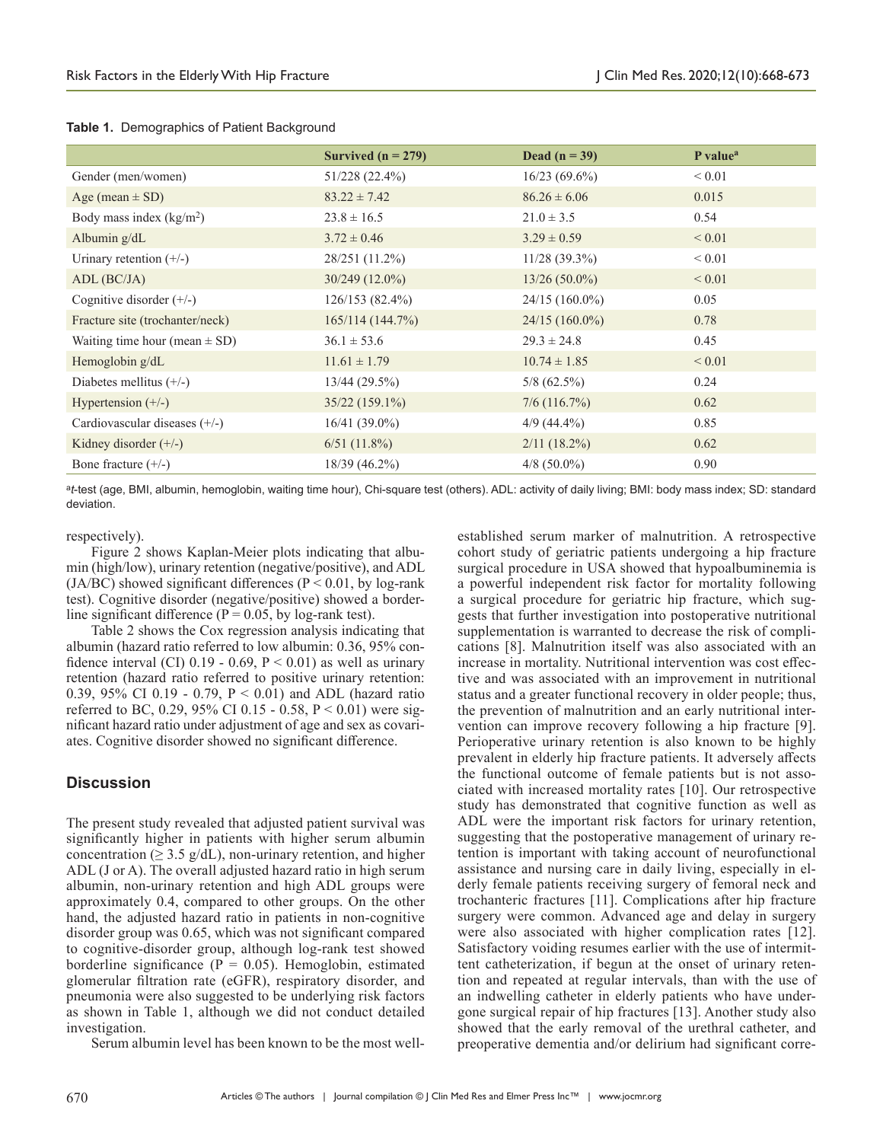|                                   | Survived $(n = 279)$ | Dead $(n = 39)$  | P value <sup>a</sup> |
|-----------------------------------|----------------------|------------------|----------------------|
| Gender (men/women)                | 51/228 (22.4%)       | $16/23(69.6\%)$  | ${}< 0.01$           |
| Age (mean $\pm$ SD)               | $83.22 \pm 7.42$     | $86.26 \pm 6.06$ | 0.015                |
| Body mass index $(kg/m2)$         | $23.8 \pm 16.5$      | $21.0 \pm 3.5$   | 0.54                 |
| Albumin $g/dL$                    | $3.72 \pm 0.46$      | $3.29 \pm 0.59$  | ${}_{0.01}$          |
| Urinary retention $(+/-)$         | 28/251 (11.2%)       | $11/28$ (39.3%)  | ${}< 0.01$           |
| $ADL$ ( $BC/JA$ )                 | $30/249$ (12.0%)     | $13/26(50.0\%)$  | ${}< 0.01$           |
| Cognitive disorder $(+/-)$        | 126/153(82.4%)       | $24/15(160.0\%)$ | 0.05                 |
| Fracture site (trochanter/neck)   | 165/114(144.7%)      | $24/15(160.0\%)$ | 0.78                 |
| Waiting time hour (mean $\pm$ SD) | $36.1 \pm 53.6$      | $29.3 \pm 24.8$  | 0.45                 |
| Hemoglobin $g/dL$                 | $11.61 \pm 1.79$     | $10.74 \pm 1.85$ | ${}< 0.01$           |
| Diabetes mellitus $(+/-)$         | 13/44(29.5%)         | $5/8(62.5\%)$    | 0.24                 |
| Hypertension $(+/-)$              | $35/22(159.1\%)$     | $7/6$ (116.7%)   | 0.62                 |
| Cardiovascular diseases $(+/-)$   | 16/41 (39.0%)        | $4/9(44.4\%)$    | 0.85                 |
| Kidney disorder $(+/-)$           | 6/51(11.8%)          | $2/11$ (18.2%)   | 0.62                 |
| Bone fracture $(+/-)$             | 18/39 (46.2%)        | $4/8$ (50.0%)    | 0.90                 |

#### **Table 1.** Demographics of Patient Background

<sup>a</sup>*t*-test (age, BMI, albumin, hemoglobin, waiting time hour), Chi-square test (others). ADL: activity of daily living; BMI: body mass index; SD: standard deviation.

#### respectively).

Figure 2 shows Kaplan-Meier plots indicating that albumin (high/low), urinary retention (negative/positive), and ADL (JA/BC) showed significant differences ( $P < 0.01$ , by log-rank test). Cognitive disorder (negative/positive) showed a borderline significant difference ( $P = 0.05$ , by log-rank test).

Table 2 shows the Cox regression analysis indicating that albumin (hazard ratio referred to low albumin: 0.36, 95% confidence interval (CI)  $0.19 - 0.69$ ,  $P < 0.01$ ) as well as urinary retention (hazard ratio referred to positive urinary retention: 0.39, 95% CI 0.19 - 0.79, P < 0.01) and ADL (hazard ratio referred to BC, 0.29, 95% CI 0.15 - 0.58,  $P < 0.01$ ) were significant hazard ratio under adjustment of age and sex as covariates. Cognitive disorder showed no significant difference.

#### **Discussion**

The present study revealed that adjusted patient survival was significantly higher in patients with higher serum albumin concentration ( $\geq$  3.5 g/dL), non-urinary retention, and higher ADL (J or A). The overall adjusted hazard ratio in high serum albumin, non-urinary retention and high ADL groups were approximately 0.4, compared to other groups. On the other hand, the adjusted hazard ratio in patients in non-cognitive disorder group was 0.65, which was not significant compared to cognitive-disorder group, although log-rank test showed borderline significance ( $P = 0.05$ ). Hemoglobin, estimated glomerular filtration rate (eGFR), respiratory disorder, and pneumonia were also suggested to be underlying risk factors as shown in Table 1, although we did not conduct detailed investigation.

Serum albumin level has been known to be the most well-

established serum marker of malnutrition. A retrospective cohort study of geriatric patients undergoing a hip fracture surgical procedure in USA showed that hypoalbuminemia is a powerful independent risk factor for mortality following a surgical procedure for geriatric hip fracture, which suggests that further investigation into postoperative nutritional supplementation is warranted to decrease the risk of complications [8]. Malnutrition itself was also associated with an increase in mortality. Nutritional intervention was cost effective and was associated with an improvement in nutritional status and a greater functional recovery in older people; thus, the prevention of malnutrition and an early nutritional intervention can improve recovery following a hip fracture [9]. Perioperative urinary retention is also known to be highly prevalent in elderly hip fracture patients. It adversely affects the functional outcome of female patients but is not associated with increased mortality rates [10]. Our retrospective study has demonstrated that cognitive function as well as ADL were the important risk factors for urinary retention, suggesting that the postoperative management of urinary retention is important with taking account of neurofunctional assistance and nursing care in daily living, especially in elderly female patients receiving surgery of femoral neck and trochanteric fractures [11]. Complications after hip fracture surgery were common. Advanced age and delay in surgery were also associated with higher complication rates [12]. Satisfactory voiding resumes earlier with the use of intermittent catheterization, if begun at the onset of urinary retention and repeated at regular intervals, than with the use of an indwelling catheter in elderly patients who have undergone surgical repair of hip fractures [13]. Another study also showed that the early removal of the urethral catheter, and preoperative dementia and/or delirium had significant corre-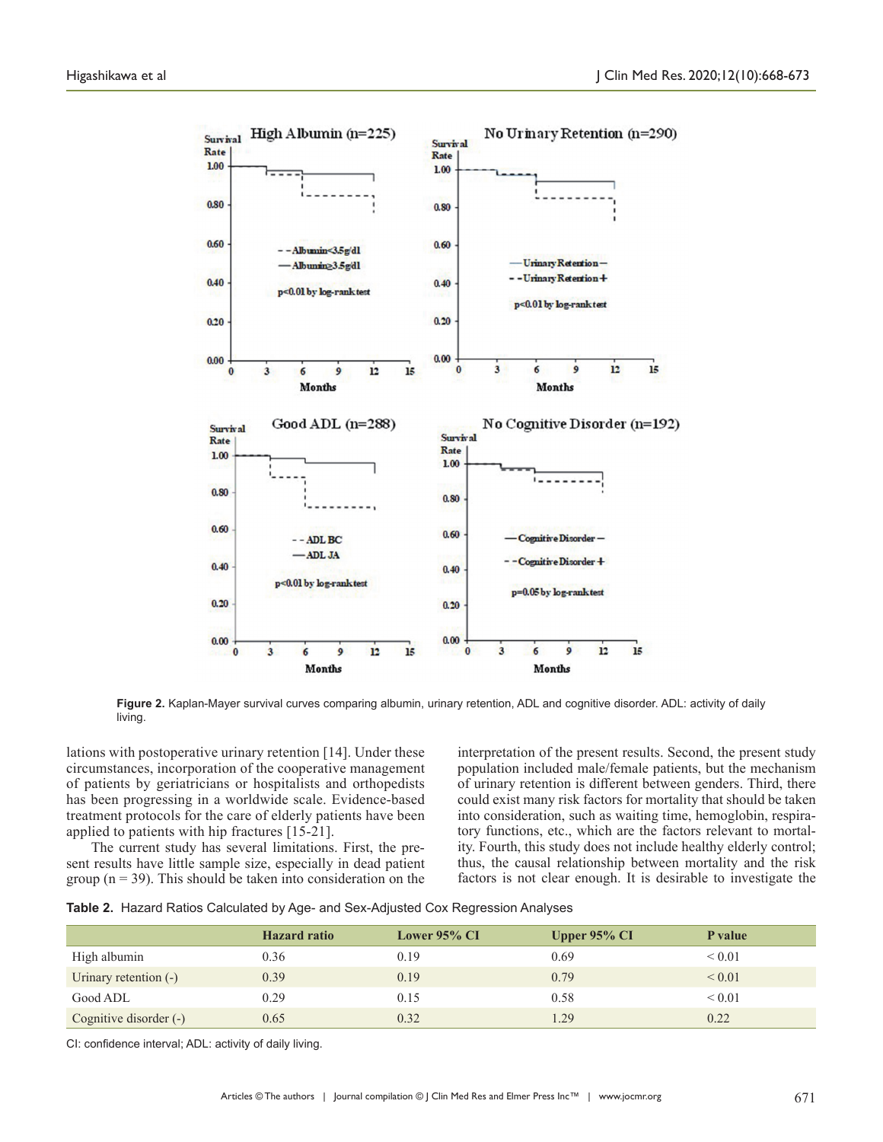

**Figure 2.** Kaplan-Mayer survival curves comparing albumin, urinary retention, ADL and cognitive disorder. ADL: activity of daily living.

lations with postoperative urinary retention [14]. Under these circumstances, incorporation of the cooperative management of patients by geriatricians or hospitalists and orthopedists has been progressing in a worldwide scale. Evidence-based treatment protocols for the care of elderly patients have been applied to patients with hip fractures [15-21].

The current study has several limitations. First, the present results have little sample size, especially in dead patient group ( $n = 39$ ). This should be taken into consideration on the

interpretation of the present results. Second, the present study population included male/female patients, but the mechanism of urinary retention is different between genders. Third, there could exist many risk factors for mortality that should be taken into consideration, such as waiting time, hemoglobin, respiratory functions, etc., which are the factors relevant to mortality. Fourth, this study does not include healthy elderly control; thus, the causal relationship between mortality and the risk factors is not clear enough. It is desirable to investigate the

|  |  |  |  |  | Table 2. Hazard Ratios Calculated by Age- and Sex-Adjusted Cox Regression Analyses |  |
|--|--|--|--|--|------------------------------------------------------------------------------------|--|
|--|--|--|--|--|------------------------------------------------------------------------------------|--|

|                        | <b>Hazard</b> ratio | <b>Lower 95% CI</b> | Upper $95\%$ CI | P value     |
|------------------------|---------------------|---------------------|-----------------|-------------|
| High albumin           | 0.36                | 0.19                | 0.69            | ${}_{0.01}$ |
| Urinary retention (-)  | 0.39                | 0.19                | 0.79            | ${}_{0.01}$ |
| Good ADL               | 0.29                | 0.15                | 0.58            | ${}_{0.01}$ |
| Cognitive disorder (-) | 0.65                | 0.32                | 1.29            | 0.22        |

CI: confidence interval; ADL: activity of daily living.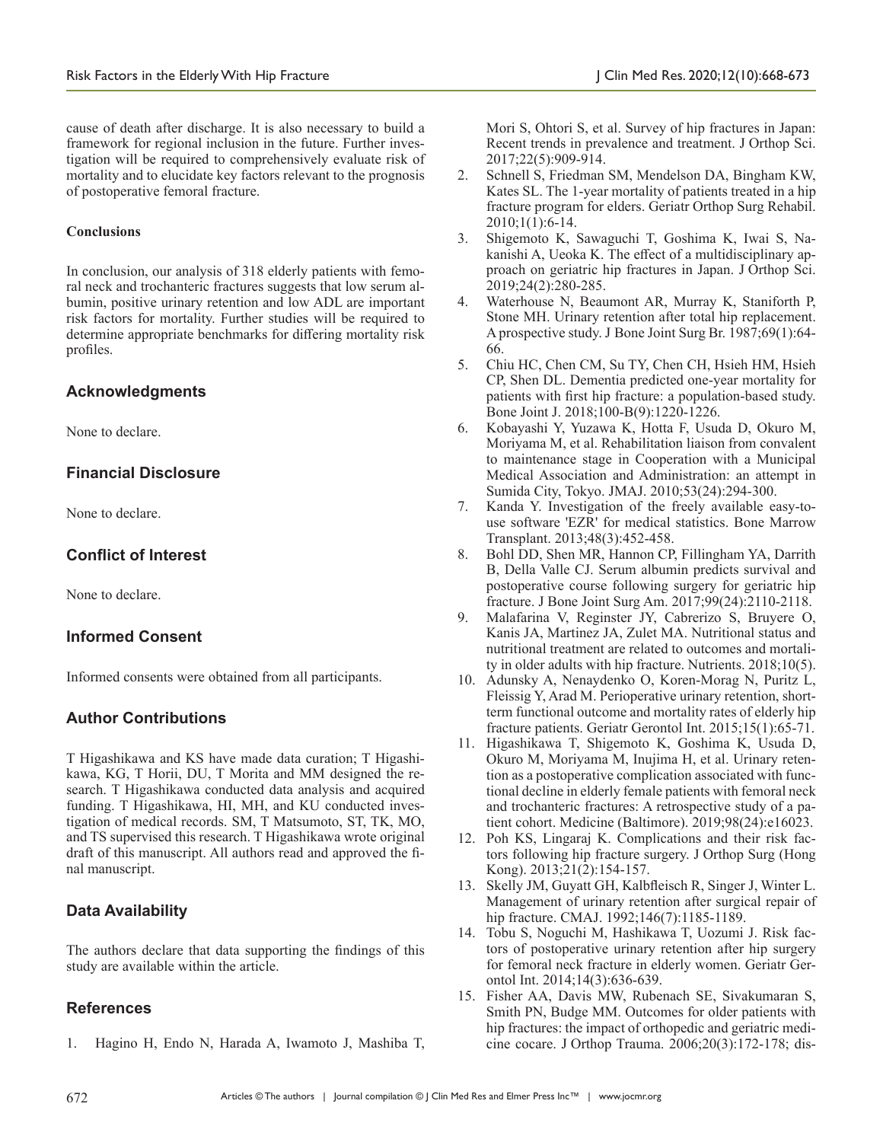cause of death after discharge. It is also necessary to build a framework for regional inclusion in the future. Further investigation will be required to comprehensively evaluate risk of mortality and to elucidate key factors relevant to the prognosis of postoperative femoral fracture.

#### **Conclusions**

In conclusion, our analysis of 318 elderly patients with femoral neck and trochanteric fractures suggests that low serum albumin, positive urinary retention and low ADL are important risk factors for mortality. Further studies will be required to determine appropriate benchmarks for differing mortality risk profiles.

## **Acknowledgments**

None to declare.

## **Financial Disclosure**

None to declare.

## **Conflict of Interest**

None to declare.

#### **Informed Consent**

Informed consents were obtained from all participants.

## **Author Contributions**

T Higashikawa and KS have made data curation; T Higashikawa, KG, T Horii, DU, T Morita and MM designed the research. T Higashikawa conducted data analysis and acquired funding. T Higashikawa, HI, MH, and KU conducted investigation of medical records. SM, T Matsumoto, ST, TK, MO, and TS supervised this research. T Higashikawa wrote original draft of this manuscript. All authors read and approved the final manuscript.

## **Data Availability**

The authors declare that data supporting the findings of this study are available within the article.

#### **References**

1. Hagino H, Endo N, Harada A, Iwamoto J, Mashiba T,

Mori S, Ohtori S, et al. Survey of hip fractures in Japan: Recent trends in prevalence and treatment. J Orthop Sci. 2017;22(5):909-914.

- 2. Schnell S, Friedman SM, Mendelson DA, Bingham KW, Kates SL. The 1-year mortality of patients treated in a hip fracture program for elders. Geriatr Orthop Surg Rehabil. 2010;1(1):6-14.
- 3. Shigemoto K, Sawaguchi T, Goshima K, Iwai S, Nakanishi A, Ueoka K. The effect of a multidisciplinary approach on geriatric hip fractures in Japan. J Orthop Sci. 2019;24(2):280-285.
- 4. Waterhouse N, Beaumont AR, Murray K, Staniforth P, Stone MH. Urinary retention after total hip replacement. A prospective study. J Bone Joint Surg Br. 1987;69(1):64- 66.
- 5. Chiu HC, Chen CM, Su TY, Chen CH, Hsieh HM, Hsieh CP, Shen DL. Dementia predicted one-year mortality for patients with first hip fracture: a population-based study. Bone Joint J. 2018;100-B(9):1220-1226.
- 6. Kobayashi Y, Yuzawa K, Hotta F, Usuda D, Okuro M, Moriyama M, et al. Rehabilitation liaison from convalent to maintenance stage in Cooperation with a Municipal Medical Association and Administration: an attempt in Sumida City, Tokyo. JMAJ. 2010;53(24):294-300.
- 7. Kanda Y. Investigation of the freely available easy-touse software 'EZR' for medical statistics. Bone Marrow Transplant. 2013;48(3):452-458.
- 8. Bohl DD, Shen MR, Hannon CP, Fillingham YA, Darrith B, Della Valle CJ. Serum albumin predicts survival and postoperative course following surgery for geriatric hip fracture. J Bone Joint Surg Am. 2017;99(24):2110-2118.
- 9. Malafarina V, Reginster JY, Cabrerizo S, Bruyere O, Kanis JA, Martinez JA, Zulet MA. Nutritional status and nutritional treatment are related to outcomes and mortality in older adults with hip fracture. Nutrients. 2018;10(5).
- 10. Adunsky A, Nenaydenko O, Koren-Morag N, Puritz L, Fleissig Y, Arad M. Perioperative urinary retention, shortterm functional outcome and mortality rates of elderly hip fracture patients. Geriatr Gerontol Int. 2015;15(1):65-71.
- 11. Higashikawa T, Shigemoto K, Goshima K, Usuda D, Okuro M, Moriyama M, Inujima H, et al. Urinary retention as a postoperative complication associated with functional decline in elderly female patients with femoral neck and trochanteric fractures: A retrospective study of a patient cohort. Medicine (Baltimore). 2019;98(24):e16023.
- 12. Poh KS, Lingaraj K. Complications and their risk factors following hip fracture surgery. J Orthop Surg (Hong Kong). 2013;21(2):154-157.
- 13. Skelly JM, Guyatt GH, Kalbfleisch R, Singer J, Winter L. Management of urinary retention after surgical repair of hip fracture. CMAJ. 1992;146(7):1185-1189.
- 14. Tobu S, Noguchi M, Hashikawa T, Uozumi J. Risk factors of postoperative urinary retention after hip surgery for femoral neck fracture in elderly women. Geriatr Gerontol Int. 2014;14(3):636-639.
- 15. Fisher AA, Davis MW, Rubenach SE, Sivakumaran S, Smith PN, Budge MM. Outcomes for older patients with hip fractures: the impact of orthopedic and geriatric medicine cocare. J Orthop Trauma. 2006;20(3):172-178; dis-